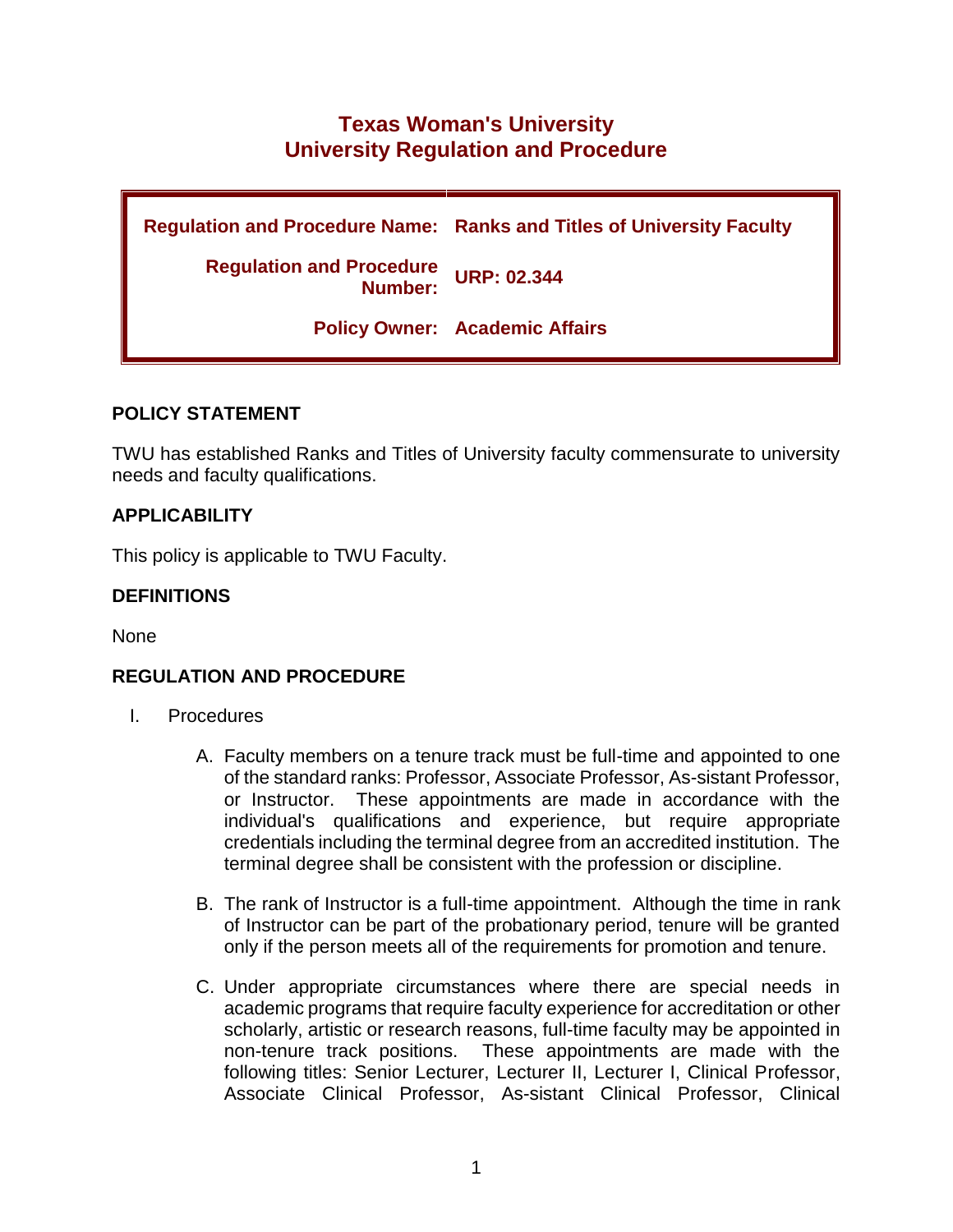# **Texas Woman's University University Regulation and Procedure**

**Regulation and Procedure Name: Ranks and Titles of University Faculty Regulation and Procedure Number: URP: 02.344 Policy Owner: Academic Affairs**

## **POLICY STATEMENT**

TWU has established Ranks and Titles of University faculty commensurate to university needs and faculty qualifications.

## **APPLICABILITY**

This policy is applicable to TWU Faculty.

### **DEFINITIONS**

None

### **REGULATION AND PROCEDURE**

- I. Procedures
	- A. Faculty members on a tenure track must be full-time and appointed to one of the standard ranks: Professor, Associate Professor, As-sistant Professor, or Instructor. These appointments are made in accordance with the individual's qualifications and experience, but require appropriate credentials including the terminal degree from an accredited institution. The terminal degree shall be consistent with the profession or discipline.
	- B. The rank of Instructor is a full-time appointment. Although the time in rank of Instructor can be part of the probationary period, tenure will be granted only if the person meets all of the requirements for promotion and tenure.
	- C. Under appropriate circumstances where there are special needs in academic programs that require faculty experience for accreditation or other scholarly, artistic or research reasons, full-time faculty may be appointed in non-tenure track positions. These appointments are made with the following titles: Senior Lecturer, Lecturer II, Lecturer I, Clinical Professor, Associate Clinical Professor, As-sistant Clinical Professor, Clinical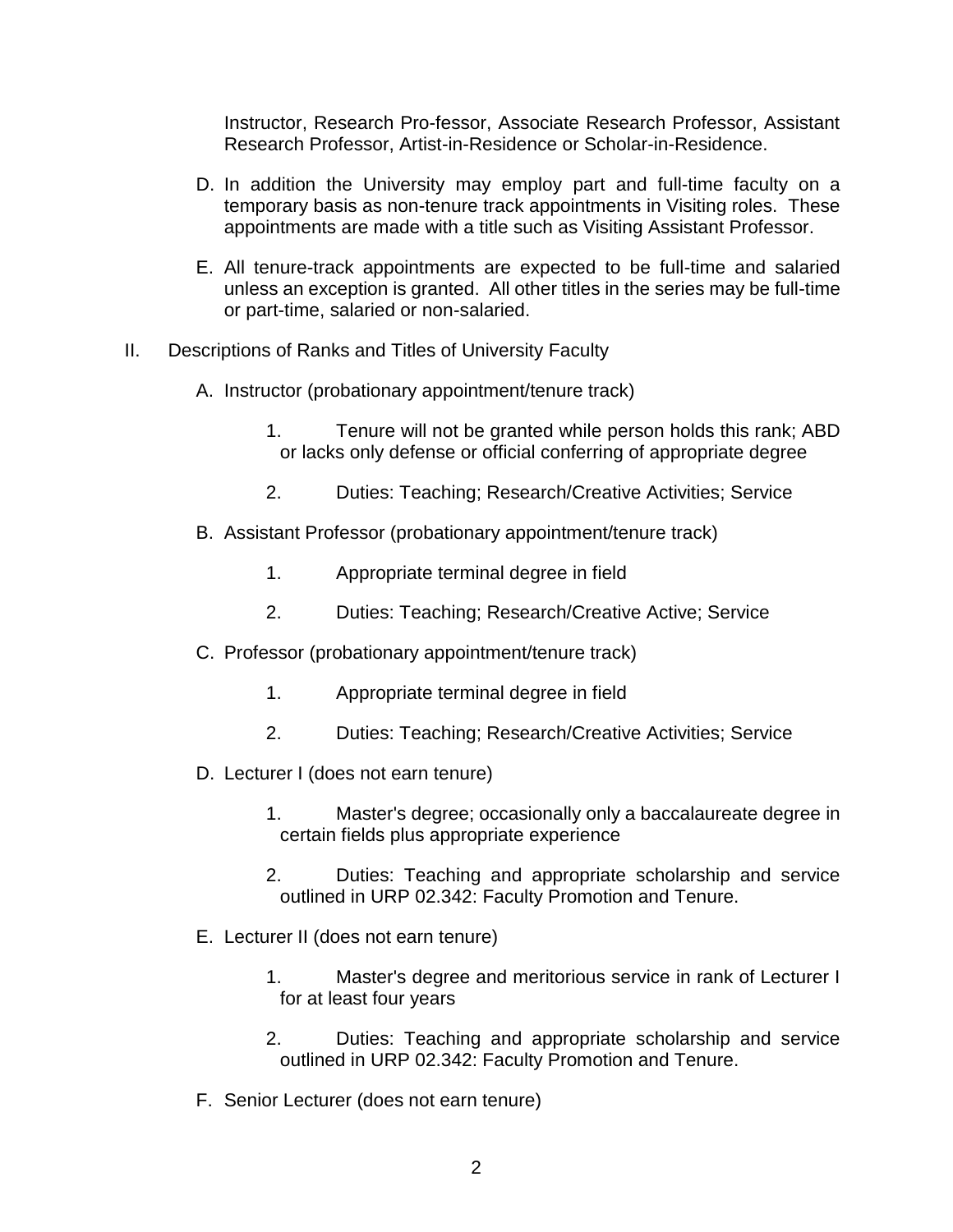Instructor, Research Pro-fessor, Associate Research Professor, Assistant Research Professor, Artist-in-Residence or Scholar-in-Residence.

- D. In addition the University may employ part and full-time faculty on a temporary basis as non-tenure track appointments in Visiting roles. These appointments are made with a title such as Visiting Assistant Professor.
- E. All tenure-track appointments are expected to be full-time and salaried unless an exception is granted. All other titles in the series may be full-time or part-time, salaried or non-salaried.
- II. Descriptions of Ranks and Titles of University Faculty
	- A. Instructor (probationary appointment/tenure track)
		- 1. Tenure will not be granted while person holds this rank; ABD or lacks only defense or official conferring of appropriate degree
		- 2. Duties: Teaching; Research/Creative Activities; Service
	- B. Assistant Professor (probationary appointment/tenure track)
		- 1. Appropriate terminal degree in field
		- 2. Duties: Teaching; Research/Creative Active; Service
	- C. Professor (probationary appointment/tenure track)
		- 1. Appropriate terminal degree in field
		- 2. Duties: Teaching; Research/Creative Activities; Service
	- D. Lecturer I (does not earn tenure)
		- 1. Master's degree; occasionally only a baccalaureate degree in certain fields plus appropriate experience
		- 2. Duties: Teaching and appropriate scholarship and service outlined in URP 02.342: Faculty Promotion and Tenure.
	- E. Lecturer II (does not earn tenure)
		- 1. Master's degree and meritorious service in rank of Lecturer I for at least four years
		- 2. Duties: Teaching and appropriate scholarship and service outlined in URP 02.342: Faculty Promotion and Tenure.
	- F. Senior Lecturer (does not earn tenure)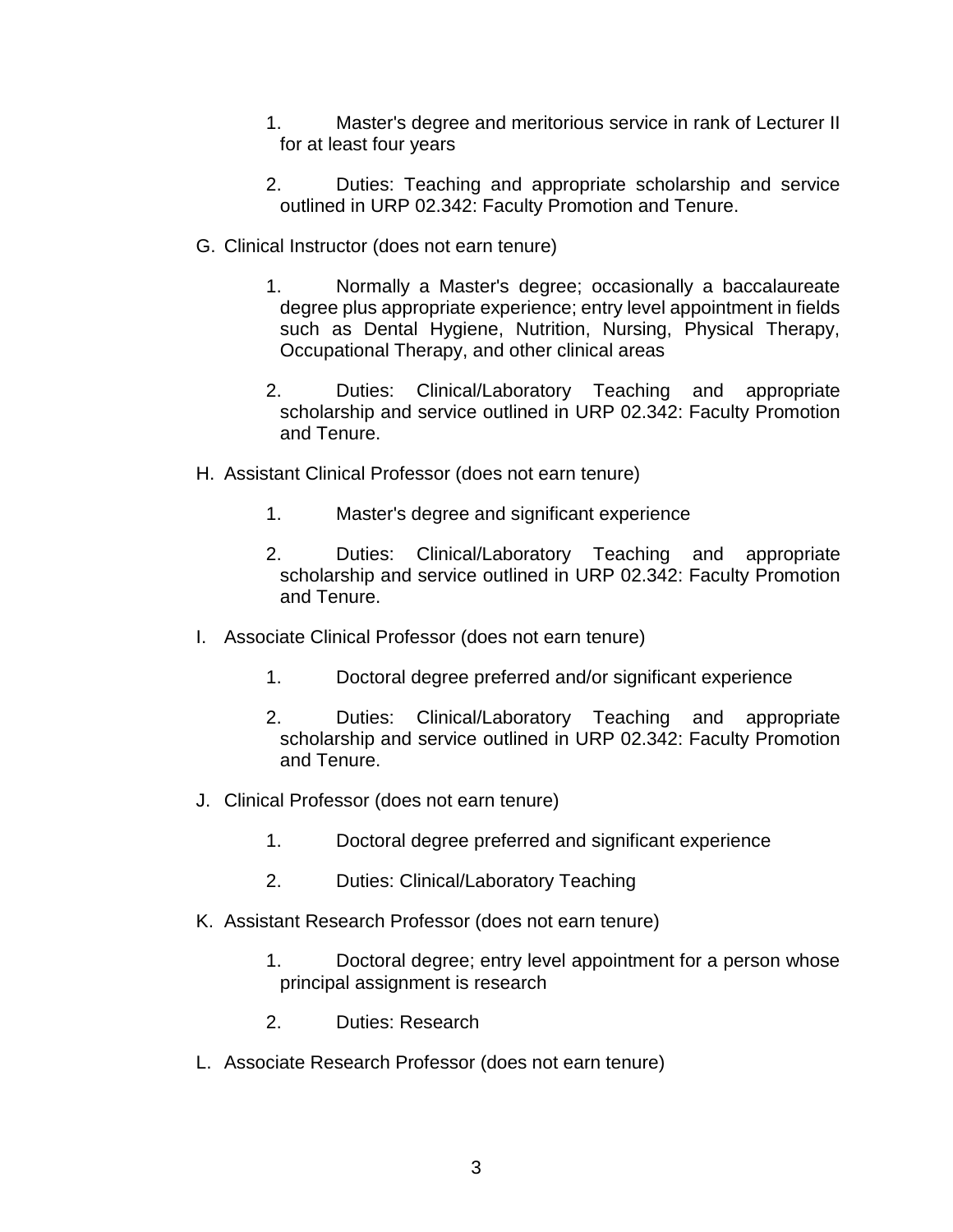- 1. Master's degree and meritorious service in rank of Lecturer II for at least four years
- 2. Duties: Teaching and appropriate scholarship and service outlined in URP 02.342: Faculty Promotion and Tenure.
- G. Clinical Instructor (does not earn tenure)
	- 1. Normally a Master's degree; occasionally a baccalaureate degree plus appropriate experience; entry level appointment in fields such as Dental Hygiene, Nutrition, Nursing, Physical Therapy, Occupational Therapy, and other clinical areas
	- 2. Duties: Clinical/Laboratory Teaching and appropriate scholarship and service outlined in URP 02.342: Faculty Promotion and Tenure.
- H. Assistant Clinical Professor (does not earn tenure)
	- 1. Master's degree and significant experience
	- 2. Duties: Clinical/Laboratory Teaching and appropriate scholarship and service outlined in URP 02.342: Faculty Promotion and Tenure.
- I. Associate Clinical Professor (does not earn tenure)
	- 1. Doctoral degree preferred and/or significant experience
	- 2. Duties: Clinical/Laboratory Teaching and appropriate scholarship and service outlined in URP 02.342: Faculty Promotion and Tenure.
- J. Clinical Professor (does not earn tenure)
	- 1. Doctoral degree preferred and significant experience
	- 2. Duties: Clinical/Laboratory Teaching
- K. Assistant Research Professor (does not earn tenure)
	- 1. Doctoral degree; entry level appointment for a person whose principal assignment is research
	- 2. Duties: Research
- L. Associate Research Professor (does not earn tenure)